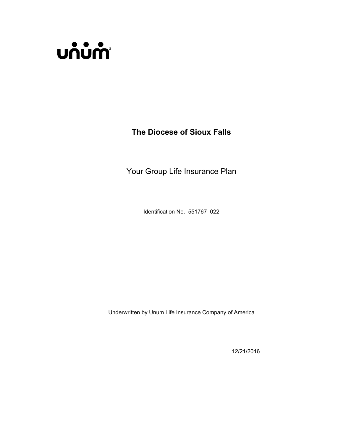

**The Diocese of Sioux Falls**

Your Group Life Insurance Plan

Identification No. 551767 022

Underwritten by Unum Life Insurance Company of America

12/21/2016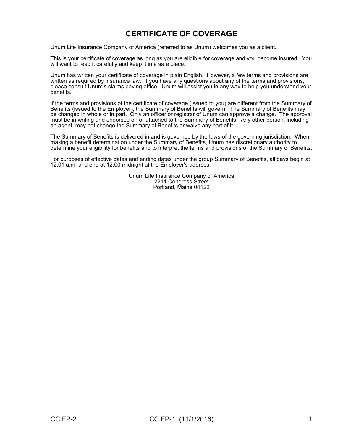# **CERTIFICATE OF COVERAGE**

Unum Life Insurance Company of America (referred to as Unum) welcomes you as a client.

This is your certificate of coverage as long as you are eligible for coverage and you become insured. You will want to read it carefully and keep it in a safe place.

Unum has written your certificate of coverage in plain English. However, a few terms and provisions are written as required by insurance law. If you have any questions about any of the terms and provisions, please consult Unum's claims paying office. Unum will assist you in any way to help you understand your benefits.

If the terms and provisions of the certificate of coverage (issued to you) are different from the Summary of Benefits (issued to the Employer), the Summary of Benefits will govern. The Summary of Benefits may be changed in whole or in part. Only an officer or registrar of Unum can approve a change. The approval must be in writing and endorsed on or attached to the Summary of Benefits. Any other person, including an agent, may not change the Summary of Benefits or waive any part of it.

The Summary of Benefits is delivered in and is governed by the laws of the governing jurisdiction. When making a benefit determination under the Summary of Benefits, Unum has discretionary authority to determine your eligibility for benefits and to interpret the terms and provisions of the Summary of Benefits.

For purposes of effective dates and ending dates under the group Summary of Benefits, all days begin at 12:01 a.m. and end at 12:00 midnight at the Employer's address.

> Unum Life Insurance Company of America 2211 Congress Street Portland, Maine 04122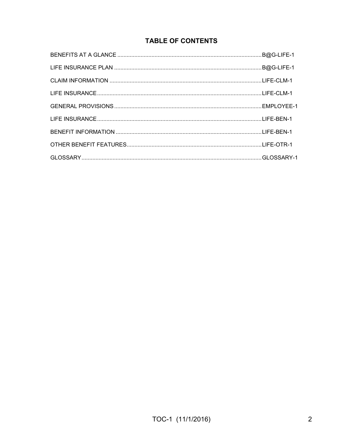# **TABLE OF CONTENTS**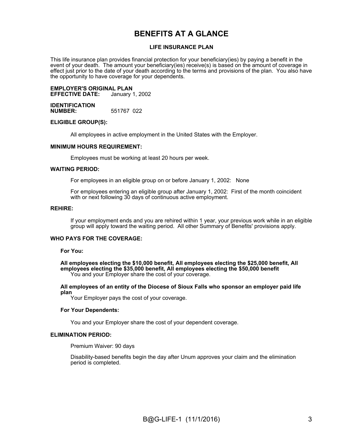# **BENEFITS AT A GLANCE**

#### **LIFE INSURANCE PLAN**

This life insurance plan provides financial protection for your beneficiary(ies) by paying a benefit in the event of your death. The amount your beneficiary(ies) receive(s) is based on the amount of coverage in effect just prior to the date of your death according to the terms and provisions of the plan. You also have the opportunity to have coverage for your dependents.

# **EMPLOYER'S ORIGINAL PLAN**

**EFFECTIVE DATE:** 

**IDENTIFICATION NUMBER:** 551767 022

#### **ELIGIBLE GROUP(S):**

All employees in active employment in the United States with the Employer.

#### **MINIMUM HOURS REQUIREMENT:**

Employees must be working at least 20 hours per week.

#### **WAITING PERIOD:**

For employees in an eligible group on or before January 1, 2002: None

For employees entering an eligible group after January 1, 2002: First of the month coincident with or next following 30 days of continuous active employment.

#### **REHIRE:**

If your employment ends and you are rehired within 1 year, your previous work while in an eligible group will apply toward the waiting period. All other Summary of Benefits' provisions apply.

#### **WHO PAYS FOR THE COVERAGE:**

**For You:**

**All employees electing the \$10,000 benefit, All employees electing the \$25,000 benefit, All employees electing the \$35,000 benefit, All employees electing the \$50,000 benefit** You and your Employer share the cost of your coverage.

#### **All employees of an entity of the Diocese of Sioux Falls who sponsor an employer paid life plan**

Your Employer pays the cost of your coverage.

#### **For Your Dependents:**

You and your Employer share the cost of your dependent coverage.

#### **ELIMINATION PERIOD:**

Premium Waiver: 90 days

Disability-based benefits begin the day after Unum approves your claim and the elimination period is completed.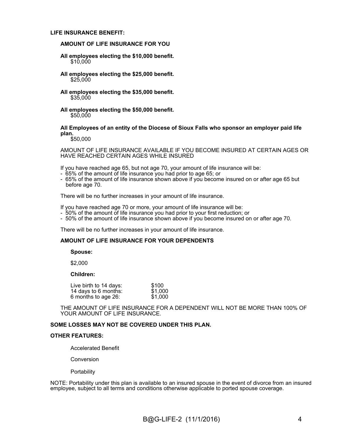#### **LIFE INSURANCE BENEFIT:**

#### **AMOUNT OF LIFE INSURANCE FOR YOU**

- **All employees electing the \$10,000 benefit.** \$10,000
- **All employees electing the \$25,000 benefit.** \$25,000
- **All employees electing the \$35,000 benefit.** \$35,000
- **All employees electing the \$50,000 benefit.** \$50,000

#### **All Employees of an entity of the Diocese of Sioux Falls who sponsor an employer paid life plan.**

\$50,000

AMOUNT OF LIFE INSURANCE AVAILABLE IF YOU BECOME INSURED AT CERTAIN AGES OR HAVE REACHED CERTAIN AGES WHILE INSURED

If you have reached age 65, but not age 70, your amount of life insurance will be:

- 65% of the amount of life insurance you had prior to age 65; or
- 65% of the amount of life insurance shown above if you become insured on or after age 65 but before age 70.

There will be no further increases in your amount of life insurance.

If you have reached age 70 or more, your amount of life insurance will be:

- 50% of the amount of life insurance you had prior to your first reduction; or
- 50% of the amount of life insurance shown above if you become insured on or after age 70.

There will be no further increases in your amount of life insurance.

#### **AMOUNT OF LIFE INSURANCE FOR YOUR DEPENDENTS**

#### **Spouse:**

\$2,000

#### **Children:**

| Live birth to 14 days: | \$100   |
|------------------------|---------|
| 14 days to 6 months:   | \$1,000 |
| 6 months to age 26:    | \$1,000 |

THE AMOUNT OF LIFE INSURANCE FOR A DEPENDENT WILL NOT BE MORE THAN 100% OF YOUR AMOUNT OF LIFE INSURANCE.

#### **SOME LOSSES MAY NOT BE COVERED UNDER THIS PLAN.**

#### **OTHER FEATURES:**

Accelerated Benefit

Conversion

**Portability** 

NOTE: Portability under this plan is available to an insured spouse in the event of divorce from an insured employee, subject to all terms and conditions otherwise applicable to ported spouse coverage.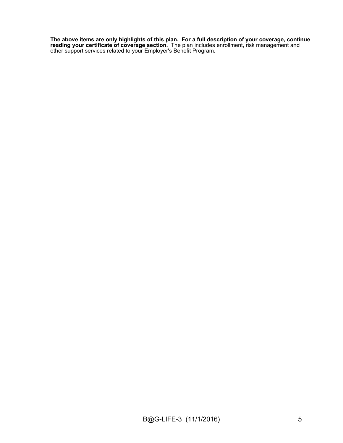**The above items are only highlights of this plan. For a full description of your coverage, continue reading your certificate of coverage section.** The plan includes enrollment, risk management and other support services related to your Employer's Benefit Program.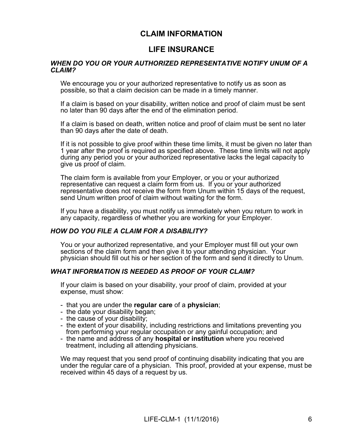# **CLAIM INFORMATION**

# **LIFE INSURANCE**

#### *WHEN DO YOU OR YOUR AUTHORIZED REPRESENTATIVE NOTIFY UNUM OF A CLAIM?*

We encourage you or your authorized representative to notify us as soon as possible, so that a claim decision can be made in a timely manner.

If a claim is based on your disability, written notice and proof of claim must be sent no later than 90 days after the end of the elimination period.

If a claim is based on death, written notice and proof of claim must be sent no later than 90 days after the date of death.

If it is not possible to give proof within these time limits, it must be given no later than 1 year after the proof is required as specified above. These time limits will not apply during any period you or your authorized representative lacks the legal capacity to give us proof of claim.

The claim form is available from your Employer, or you or your authorized representative can request a claim form from us. If you or your authorized representative does not receive the form from Unum within 15 days of the request, send Unum written proof of claim without waiting for the form.

If you have a disability, you must notify us immediately when you return to work in any capacity, regardless of whether you are working for your Employer.

#### *HOW DO YOU FILE A CLAIM FOR A DISABILITY?*

You or your authorized representative, and your Employer must fill out your own sections of the claim form and then give it to your attending physician. Your physician should fill out his or her section of the form and send it directly to Unum.

#### *WHAT INFORMATION IS NEEDED AS PROOF OF YOUR CLAIM?*

If your claim is based on your disability, your proof of claim, provided at your expense, must show:

- that you are under the **regular care** of a **physician**;
- the date your disability began;
- the cause of your disability;
- the extent of your disability, including restrictions and limitations preventing you from performing your regular occupation or any gainful occupation; and
- the name and address of any **hospital or institution** where you received treatment, including all attending physicians.

We may request that you send proof of continuing disability indicating that you are under the regular care of a physician. This proof, provided at your expense, must be received within 45 days of a request by us.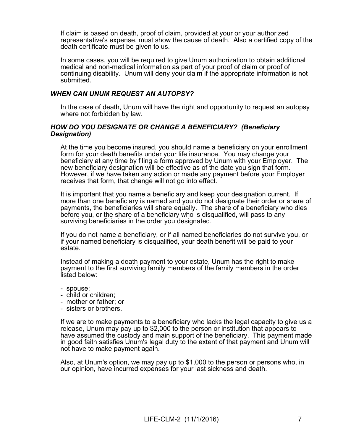If claim is based on death, proof of claim, provided at your or your authorized representative's expense, must show the cause of death. Also a certified copy of the death certificate must be given to us.

In some cases, you will be required to give Unum authorization to obtain additional medical and non-medical information as part of your proof of claim or proof of continuing disability. Unum will deny your claim if the appropriate information is not submitted.

#### *WHEN CAN UNUM REQUEST AN AUTOPSY?*

In the case of death, Unum will have the right and opportunity to request an autopsy where not forbidden by law.

#### *HOW DO YOU DESIGNATE OR CHANGE A BENEFICIARY? (Beneficiary Designation)*

At the time you become insured, you should name a beneficiary on your enrollment form for your death benefits under your life insurance. You may change your beneficiary at any time by filing a form approved by Unum with your Employer. The new beneficiary designation will be effective as of the date you sign that form. However, if we have taken any action or made any payment before your Employer receives that form, that change will not go into effect.

It is important that you name a beneficiary and keep your designation current. If more than one beneficiary is named and you do not designate their order or share of payments, the beneficiaries will share equally. The share of a beneficiary who dies before you, or the share of a beneficiary who is disqualified, will pass to any surviving beneficiaries in the order you designated.

If you do not name a beneficiary, or if all named beneficiaries do not survive you, or if your named beneficiary is disqualified, your death benefit will be paid to your estate.

Instead of making a death payment to your estate, Unum has the right to make payment to the first surviving family members of the family members in the order listed below:

- spouse;
- child or children;
- mother or father; or
- sisters or brothers.

If we are to make payments to a beneficiary who lacks the legal capacity to give us a release, Unum may pay up to \$2,000 to the person or institution that appears to have assumed the custody and main support of the beneficiary. This payment made in good faith satisfies Unum's legal duty to the extent of that payment and Unum will not have to make payment again.

Also, at Unum's option, we may pay up to \$1,000 to the person or persons who, in our opinion, have incurred expenses for your last sickness and death.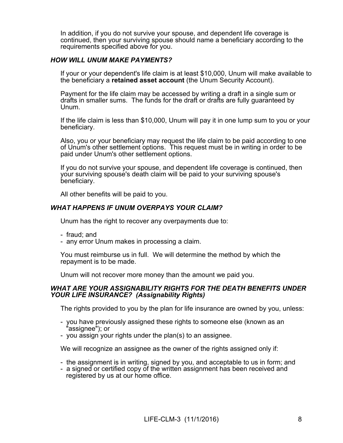In addition, if you do not survive your spouse, and dependent life coverage is continued, then your surviving spouse should name a beneficiary according to the requirements specified above for you.

#### *HOW WILL UNUM MAKE PAYMENTS?*

If your or your dependent's life claim is at least \$10,000, Unum will make available to the beneficiary a **retained asset account** (the Unum Security Account).

Payment for the life claim may be accessed by writing a draft in a single sum or drafts in smaller sums. The funds for the draft or drafts are fully guaranteed by Unum.

If the life claim is less than \$10,000, Unum will pay it in one lump sum to you or your beneficiary.

Also, you or your beneficiary may request the life claim to be paid according to one of Unum's other settlement options. This request must be in writing in order to be paid under Unum's other settlement options.

If you do not survive your spouse, and dependent life coverage is continued, then your surviving spouse's death claim will be paid to your surviving spouse's beneficiary.

All other benefits will be paid to you.

#### *WHAT HAPPENS IF UNUM OVERPAYS YOUR CLAIM?*

Unum has the right to recover any overpayments due to:

- fraud; and
- any error Unum makes in processing a claim.

You must reimburse us in full. We will determine the method by which the repayment is to be made.

Unum will not recover more money than the amount we paid you.

#### *WHAT ARE YOUR ASSIGNABILITY RIGHTS FOR THE DEATH BENEFITS UNDER YOUR LIFE INSURANCE? (Assignability Rights)*

The rights provided to you by the plan for life insurance are owned by you, unless:

- you have previously assigned these rights to someone else (known as an "assignee"); or
- you assign your rights under the plan(s) to an assignee.

We will recognize an assignee as the owner of the rights assigned only if:

- the assignment is in writing, signed by you, and acceptable to us in form; and
- a signed or certified copy of the written assignment has been received and registered by us at our home office.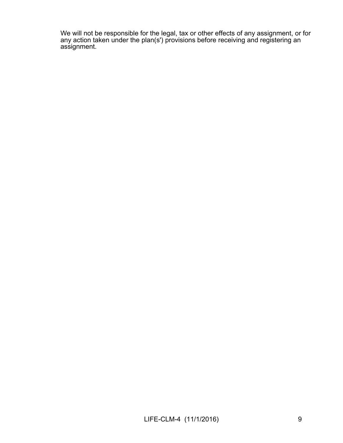We will not be responsible for the legal, tax or other effects of any assignment, or for any action taken under the plan(s') provisions before receiving and registering an assignment.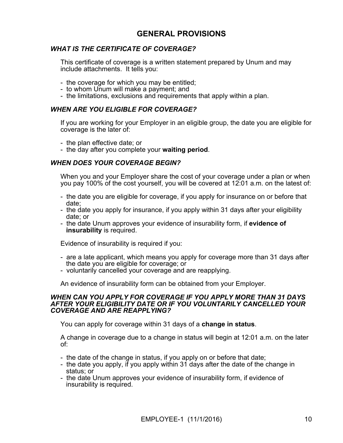# **GENERAL PROVISIONS**

### *WHAT IS THE CERTIFICATE OF COVERAGE?*

This certificate of coverage is a written statement prepared by Unum and may include attachments. It tells you:

- the coverage for which you may be entitled;
- to whom Unum will make a payment; and
- the limitations, exclusions and requirements that apply within a plan.

#### *WHEN ARE YOU ELIGIBLE FOR COVERAGE?*

If you are working for your Employer in an eligible group, the date you are eligible for coverage is the later of:

- the plan effective date; or
- the day after you complete your **waiting period**.

#### *WHEN DOES YOUR COVERAGE BEGIN?*

When you and your Employer share the cost of your coverage under a plan or when you pay 100% of the cost yourself, you will be covered at 12:01 a.m. on the latest of:

- the date you are eligible for coverage, if you apply for insurance on or before that date;
- the date you apply for insurance, if you apply within 31 days after your eligibility date; or
- the date Unum approves your evidence of insurability form, if **evidence of insurability** is required.

Evidence of insurability is required if you:

- are a late applicant, which means you apply for coverage more than 31 days after the date you are eligible for coverage; or
- voluntarily cancelled your coverage and are reapplying.

An evidence of insurability form can be obtained from your Employer.

#### *WHEN CAN YOU APPLY FOR COVERAGE IF YOU APPLY MORE THAN 31 DAYS AFTER YOUR ELIGIBILITY DATE OR IF YOU VOLUNTARILY CANCELLED YOUR COVERAGE AND ARE REAPPLYING?*

You can apply for coverage within 31 days of a **change in status**.

A change in coverage due to a change in status will begin at 12:01 a.m. on the later of:

- the date of the change in status, if you apply on or before that date;
- the date you apply, if you apply within 31 days after the date of the change in status; or
- the date Unum approves your evidence of insurability form, if evidence of insurability is required.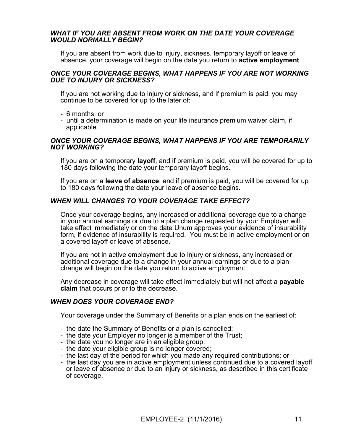#### *WHAT IF YOU ARE ABSENT FROM WORK ON THE DATE YOUR COVERAGE WOULD NORMALLY BEGIN?*

If you are absent from work due to injury, sickness, temporary layoff or leave of absence, your coverage will begin on the date you return to **active employment**.

#### *ONCE YOUR COVERAGE BEGINS, WHAT HAPPENS IF YOU ARE NOT WORKING DUE TO INJURY OR SICKNESS?*

If you are not working due to injury or sickness, and if premium is paid, you may continue to be covered for up to the later of:

- 6 months; or
- until a determination is made on your life insurance premium waiver claim, if applicable.

#### *ONCE YOUR COVERAGE BEGINS, WHAT HAPPENS IF YOU ARE TEMPORARILY NOT WORKING?*

If you are on a temporary **layoff**, and if premium is paid, you will be covered for up to 180 days following the date your temporary layoff begins.

If you are on a **leave of absence**, and if premium is paid, you will be covered for up to 180 days following the date your leave of absence begins.

#### *WHEN WILL CHANGES TO YOUR COVERAGE TAKE EFFECT?*

Once your coverage begins, any increased or additional coverage due to a change in your annual earnings or due to a plan change requested by your Employer will take effect immediately or on the date Unum approves your evidence of insurability form, if evidence of insurability is required. You must be in active employment or on a covered layoff or leave of absence.

If you are not in active employment due to injury or sickness, any increased or additional coverage due to a change in your annual earnings or due to a plan change will begin on the date you return to active employment.

Any decrease in coverage will take effect immediately but will not affect a **payable claim** that occurs prior to the decrease.

#### *WHEN DOES YOUR COVERAGE END?*

Your coverage under the Summary of Benefits or a plan ends on the earliest of:

- the date the Summary of Benefits or a plan is cancelled;
- the date your Employer no longer is a member of the Trust;
- the date you no longer are in an eligible group;
- the date your eligible group is no longer covered;
- the last day of the period for which you made any required contributions; or
- the last day you are in active employment unless continued due to a covered layoff or leave of absence or due to an injury or sickness, as described in this certificate of coverage.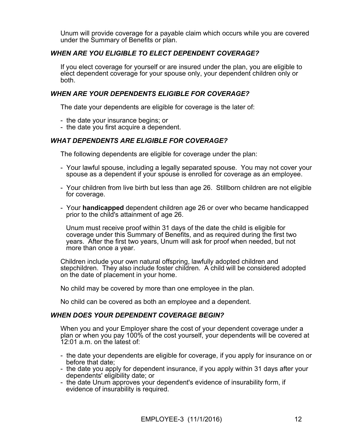Unum will provide coverage for a payable claim which occurs while you are covered under the Summary of Benefits or plan.

### *WHEN ARE YOU ELIGIBLE TO ELECT DEPENDENT COVERAGE?*

If you elect coverage for yourself or are insured under the plan, you are eligible to elect dependent coverage for your spouse only, your dependent children only or both.

### *WHEN ARE YOUR DEPENDENTS ELIGIBLE FOR COVERAGE?*

The date your dependents are eligible for coverage is the later of:

- the date your insurance begins; or
- the date you first acquire a dependent.

#### *WHAT DEPENDENTS ARE ELIGIBLE FOR COVERAGE?*

The following dependents are eligible for coverage under the plan:

- Your lawful spouse, including a legally separated spouse. You may not cover your spouse as a dependent if your spouse is enrolled for coverage as an employee.
- Your children from live birth but less than age 26. Stillborn children are not eligible for coverage.
- Your **handicapped** dependent children age 26 or over who became handicapped prior to the child's attainment of age 26.

 Unum must receive proof within 31 days of the date the child is eligible for coverage under this Summary of Benefits, and as required during the first two years. After the first two years, Unum will ask for proof when needed, but not more than once a year.

Children include your own natural offspring, lawfully adopted children and stepchildren. They also include foster children. A child will be considered adopted on the date of placement in your home.

No child may be covered by more than one employee in the plan.

No child can be covered as both an employee and a dependent.

#### *WHEN DOES YOUR DEPENDENT COVERAGE BEGIN?*

When you and your Employer share the cost of your dependent coverage under a plan or when you pay 100% of the cost yourself, your dependents will be covered at 12:01 a.m. on the latest of:

- the date your dependents are eligible for coverage, if you apply for insurance on or before that date;
- the date you apply for dependent insurance, if you apply within 31 days after your dependents' eligibility date; or
- the date Unum approves your dependent's evidence of insurability form, if evidence of insurability is required.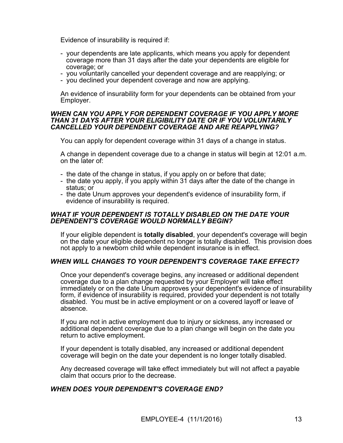Evidence of insurability is required if:

- your dependents are late applicants, which means you apply for dependent coverage more than 31 days after the date your dependents are eligible for coverage; or
- you voluntarily cancelled your dependent coverage and are reapplying; or
- you declined your dependent coverage and now are applying.

An evidence of insurability form for your dependents can be obtained from your Employer.

#### *WHEN CAN YOU APPLY FOR DEPENDENT COVERAGE IF YOU APPLY MORE THAN 31 DAYS AFTER YOUR ELIGIBILITY DATE OR IF YOU VOLUNTARILY CANCELLED YOUR DEPENDENT COVERAGE AND ARE REAPPLYING?*

You can apply for dependent coverage within 31 days of a change in status.

A change in dependent coverage due to a change in status will begin at 12:01 a.m. on the later of:

- the date of the change in status, if you apply on or before that date;
- the date you apply, if you apply within 31 days after the date of the change in status; or
- the date Unum approves your dependent's evidence of insurability form, if evidence of insurability is required.

#### *WHAT IF YOUR DEPENDENT IS TOTALLY DISABLED ON THE DATE YOUR DEPENDENT'S COVERAGE WOULD NORMALLY BEGIN?*

If your eligible dependent is **totally disabled**, your dependent's coverage will begin on the date your eligible dependent no longer is totally disabled. This provision does not apply to a newborn child while dependent insurance is in effect.

#### *WHEN WILL CHANGES TO YOUR DEPENDENT'S COVERAGE TAKE EFFECT?*

Once your dependent's coverage begins, any increased or additional dependent coverage due to a plan change requested by your Employer will take effect immediately or on the date Unum approves your dependent's evidence of insurability form, if evidence of insurability is required, provided your dependent is not totally disabled. You must be in active employment or on a covered layoff or leave of absence.

If you are not in active employment due to injury or sickness, any increased or additional dependent coverage due to a plan change will begin on the date you return to active employment.

If your dependent is totally disabled, any increased or additional dependent coverage will begin on the date your dependent is no longer totally disabled.

Any decreased coverage will take effect immediately but will not affect a payable claim that occurs prior to the decrease.

#### *WHEN DOES YOUR DEPENDENT'S COVERAGE END?*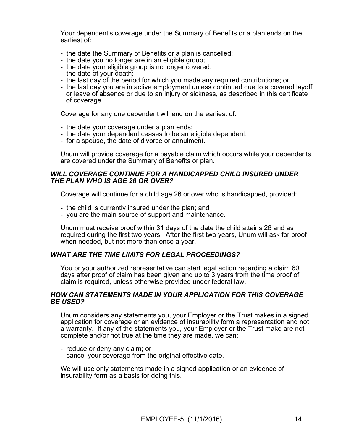Your dependent's coverage under the Summary of Benefits or a plan ends on the earliest of:

- the date the Summary of Benefits or a plan is cancelled;
- the date you no longer are in an eligible group;
- the date your eligible group is no longer covered;
- the date of your death;
- the last day of the period for which you made any required contributions; or
- the last day you are in active employment unless continued due to a covered layoff or leave of absence or due to an injury or sickness, as described in this certificate of coverage.

Coverage for any one dependent will end on the earliest of:

- the date your coverage under a plan ends;
- the date your dependent ceases to be an eligible dependent;
- for a spouse, the date of divorce or annulment.

Unum will provide coverage for a payable claim which occurs while your dependents are covered under the Summary of Benefits or plan.

#### *WILL COVERAGE CONTINUE FOR A HANDICAPPED CHILD INSURED UNDER THE PLAN WHO IS AGE 26 OR OVER?*

Coverage will continue for a child age 26 or over who is handicapped, provided:

- the child is currently insured under the plan; and
- you are the main source of support and maintenance.

Unum must receive proof within 31 days of the date the child attains 26 and as required during the first two years. After the first two years, Unum will ask for proof when needed, but not more than once a year.

#### *WHAT ARE THE TIME LIMITS FOR LEGAL PROCEEDINGS?*

You or your authorized representative can start legal action regarding a claim 60 days after proof of claim has been given and up to 3 years from the time proof of claim is required, unless otherwise provided under federal law.

#### *HOW CAN STATEMENTS MADE IN YOUR APPLICATION FOR THIS COVERAGE BE USED?*

Unum considers any statements you, your Employer or the Trust makes in a signed application for coverage or an evidence of insurability form a representation and not a warranty. If any of the statements you, your Employer or the Trust make are not complete and/or not true at the time they are made, we can:

- reduce or deny any claim; or
- cancel your coverage from the original effective date.

We will use only statements made in a signed application or an evidence of insurability form as a basis for doing this.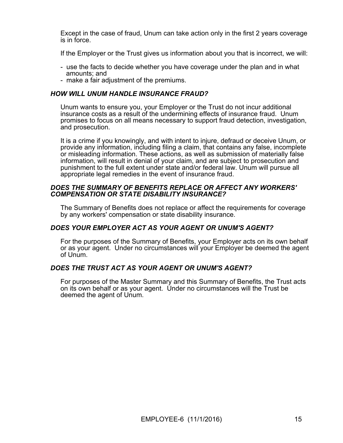Except in the case of fraud, Unum can take action only in the first 2 years coverage is in force.

If the Employer or the Trust gives us information about you that is incorrect, we will:

- use the facts to decide whether you have coverage under the plan and in what amounts; and
- make a fair adjustment of the premiums.

### *HOW WILL UNUM HANDLE INSURANCE FRAUD?*

Unum wants to ensure you, your Employer or the Trust do not incur additional insurance costs as a result of the undermining effects of insurance fraud. Unum promises to focus on all means necessary to support fraud detection, investigation, and prosecution.

It is a crime if you knowingly, and with intent to injure, defraud or deceive Unum, or provide any information, including filing a claim, that contains any false, incomplete or misleading information. These actions, as well as submission of materially false information, will result in denial of your claim, and are subject to prosecution and punishment to the full extent under state and/or federal law. Unum will pursue all appropriate legal remedies in the event of insurance fraud.

#### *DOES THE SUMMARY OF BENEFITS REPLACE OR AFFECT ANY WORKERS' COMPENSATION OR STATE DISABILITY INSURANCE?*

The Summary of Benefits does not replace or affect the requirements for coverage by any workers' compensation or state disability insurance.

### *DOES YOUR EMPLOYER ACT AS YOUR AGENT OR UNUM'S AGENT?*

For the purposes of the Summary of Benefits, your Employer acts on its own behalf or as your agent. Under no circumstances will your Employer be deemed the agent of Unum.

### *DOES THE TRUST ACT AS YOUR AGENT OR UNUM'S AGENT?*

For purposes of the Master Summary and this Summary of Benefits, the Trust acts on its own behalf or as your agent. Under no circumstances will the Trust be deemed the agent of Unum.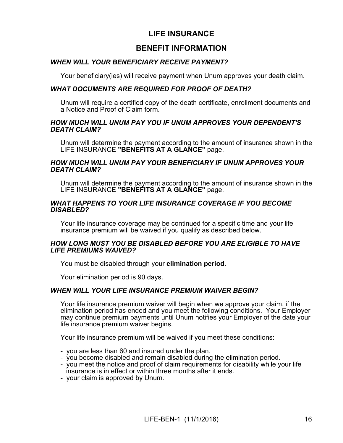# **LIFE INSURANCE**

# **BENEFIT INFORMATION**

### *WHEN WILL YOUR BENEFICIARY RECEIVE PAYMENT?*

Your beneficiary(ies) will receive payment when Unum approves your death claim.

#### *WHAT DOCUMENTS ARE REQUIRED FOR PROOF OF DEATH?*

Unum will require a certified copy of the death certificate, enrollment documents and a Notice and Proof of Claim form.

#### *HOW MUCH WILL UNUM PAY YOU IF UNUM APPROVES YOUR DEPENDENT'S DEATH CLAIM?*

Unum will determine the payment according to the amount of insurance shown in the LIFE INSURANCE **"BENEFITS AT A GLANCE"** page.

#### *HOW MUCH WILL UNUM PAY YOUR BENEFICIARY IF UNUM APPROVES YOUR DEATH CLAIM?*

Unum will determine the payment according to the amount of insurance shown in the LIFE INSURANCE **"BENEFITS AT A GLANCE"** page.

#### *WHAT HAPPENS TO YOUR LIFE INSURANCE COVERAGE IF YOU BECOME DISABLED?*

Your life insurance coverage may be continued for a specific time and your life insurance premium will be waived if you qualify as described below.

#### *HOW LONG MUST YOU BE DISABLED BEFORE YOU ARE ELIGIBLE TO HAVE LIFE PREMIUMS WAIVED?*

You must be disabled through your **elimination period**.

Your elimination period is 90 days.

#### *WHEN WILL YOUR LIFE INSURANCE PREMIUM WAIVER BEGIN?*

Your life insurance premium waiver will begin when we approve your claim, if the elimination period has ended and you meet the following conditions. Your Employer may continue premium payments until Unum notifies your Employer of the date your life insurance premium waiver begins.

Your life insurance premium will be waived if you meet these conditions:

- you are less than 60 and insured under the plan.
- you become disabled and remain disabled during the elimination period.
- you meet the notice and proof of claim requirements for disability while your life insurance is in effect or within three months after it ends.
- your claim is approved by Unum.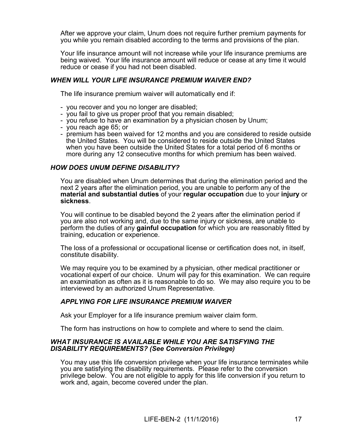After we approve your claim, Unum does not require further premium payments for you while you remain disabled according to the terms and provisions of the plan.

Your life insurance amount will not increase while your life insurance premiums are being waived. Your life insurance amount will reduce or cease at any time it would reduce or cease if you had not been disabled.

#### *WHEN WILL YOUR LIFE INSURANCE PREMIUM WAIVER END?*

The life insurance premium waiver will automatically end if:

- you recover and you no longer are disabled;
- you fail to give us proper proof that you remain disabled;
- you refuse to have an examination by a physician chosen by Unum;
- you reach age 65; or
- premium has been waived for 12 months and you are considered to reside outside the United States. You will be considered to reside outside the United States when you have been outside the United States for a total period of 6 months or more during any 12 consecutive months for which premium has been waived.

#### *HOW DOES UNUM DEFINE DISABILITY?*

You are disabled when Unum determines that during the elimination period and the next 2 years after the elimination period, you are unable to perform any of the **material and substantial duties** of your **regular occupation** due to your **injury** or **sickness**.

You will continue to be disabled beyond the 2 years after the elimination period if you are also not working and, due to the same injury or sickness, are unable to perform the duties of any **gainful occupation** for which you are reasonably fitted by training, education or experience.

The loss of a professional or occupational license or certification does not, in itself, constitute disability.

We may require you to be examined by a physician, other medical practitioner or vocational expert of our choice. Unum will pay for this examination. We can require an examination as often as it is reasonable to do so. We may also require you to be interviewed by an authorized Unum Representative.

### *APPLYING FOR LIFE INSURANCE PREMIUM WAIVER*

Ask your Employer for a life insurance premium waiver claim form.

The form has instructions on how to complete and where to send the claim.

#### *WHAT INSURANCE IS AVAILABLE WHILE YOU ARE SATISFYING THE DISABILITY REQUIREMENTS? (See Conversion Privilege)*

You may use this life conversion privilege when your life insurance terminates while you are satisfying the disability requirements. Please refer to the conversion privilege below. You are not eligible to apply for this life conversion if you return to work and, again, become covered under the plan.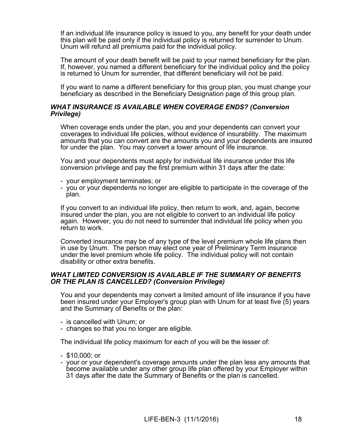If an individual life insurance policy is issued to you, any benefit for your death under this plan will be paid only if the individual policy is returned for surrender to Unum. Unum will refund all premiums paid for the individual policy.

The amount of your death benefit will be paid to your named beneficiary for the plan. If, however, you named a different beneficiary for the individual policy and the policy is returned to Unum for surrender, that different beneficiary will not be paid.

If you want to name a different beneficiary for this group plan, you must change your beneficiary as described in the Beneficiary Designation page of this group plan.

#### *WHAT INSURANCE IS AVAILABLE WHEN COVERAGE ENDS? (Conversion Privilege)*

When coverage ends under the plan, you and your dependents can convert your coverages to individual life policies, without evidence of insurability. The maximum amounts that you can convert are the amounts you and your dependents are insured for under the plan. You may convert a lower amount of life insurance.

You and your dependents must apply for individual life insurance under this life conversion privilege and pay the first premium within 31 days after the date:

- your employment terminates; or
- you or your dependents no longer are eligible to participate in the coverage of the plan.

If you convert to an individual life policy, then return to work, and, again, become insured under the plan, you are not eligible to convert to an individual life policy again. However, you do not need to surrender that individual life policy when you return to work.

Converted insurance may be of any type of the level premium whole life plans then in use by Unum. The person may elect one year of Preliminary Term insurance under the level premium whole life policy. The individual policy will not contain disability or other extra benefits.

#### *WHAT LIMITED CONVERSION IS AVAILABLE IF THE SUMMARY OF BENEFITS OR THE PLAN IS CANCELLED? (Conversion Privilege)*

You and your dependents may convert a limited amount of life insurance if you have been insured under your Employer's group plan with Unum for at least five (5) years and the Summary of Benefits or the plan:

- is cancelled with Unum; or
- changes so that you no longer are eligible.

The individual life policy maximum for each of you will be the lesser of:

- \$10,000; or
- your or your dependent's coverage amounts under the plan less any amounts that become available under any other group life plan offered by your Employer within 31 days after the date the Summary of Benefits or the plan is cancelled.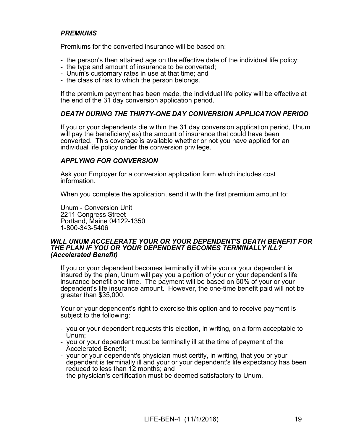### *PREMIUMS*

Premiums for the converted insurance will be based on:

- the person's then attained age on the effective date of the individual life policy;
- the type and amount of insurance to be converted;
- Unum's customary rates in use at that time; and
- the class of risk to which the person belongs.

If the premium payment has been made, the individual life policy will be effective at the end of the 31 day conversion application period.

### *DEATH DURING THE THIRTY-ONE DAY CONVERSION APPLICATION PERIOD*

If you or your dependents die within the 31 day conversion application period, Unum will pay the beneficiary(ies) the amount of insurance that could have been converted. This coverage is available whether or not you have applied for an individual life policy under the conversion privilege.

#### *APPLYING FOR CONVERSION*

Ask your Employer for a conversion application form which includes cost information.

When you complete the application, send it with the first premium amount to:

Unum - Conversion Unit 2211 Congress Street Portland, Maine 04122-1350 1-800-343-5406

#### *WILL UNUM ACCELERATE YOUR OR YOUR DEPENDENT'S DEATH BENEFIT FOR THE PLAN IF YOU OR YOUR DEPENDENT BECOMES TERMINALLY ILL? (Accelerated Benefit)*

If you or your dependent becomes terminally ill while you or your dependent is insured by the plan, Unum will pay you a portion of your or your dependent's life insurance benefit one time. The payment will be based on 50% of your or your dependent's life insurance amount. However, the one-time benefit paid will not be greater than \$35,000.

Your or your dependent's right to exercise this option and to receive payment is subject to the following:

- you or your dependent requests this election, in writing, on a form acceptable to Unum;
- you or your dependent must be terminally ill at the time of payment of the Accelerated Benefit;
- your or your dependent's physician must certify, in writing, that you or your dependent is terminally ill and your or your dependent's life expectancy has been reduced to less than 12 months; and
- the physician's certification must be deemed satisfactory to Unum.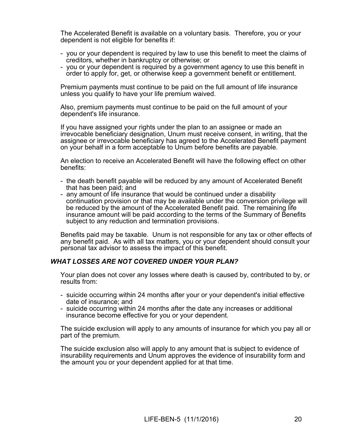The Accelerated Benefit is available on a voluntary basis. Therefore, you or your dependent is not eligible for benefits if:

- you or your dependent is required by law to use this benefit to meet the claims of creditors, whether in bankruptcy or otherwise; or
- you or your dependent is required by a government agency to use this benefit in order to apply for, get, or otherwise keep a government benefit or entitlement.

Premium payments must continue to be paid on the full amount of life insurance unless you qualify to have your life premium waived.

Also, premium payments must continue to be paid on the full amount of your dependent's life insurance.

If you have assigned your rights under the plan to an assignee or made an irrevocable beneficiary designation, Unum must receive consent, in writing, that the assignee or irrevocable beneficiary has agreed to the Accelerated Benefit payment on your behalf in a form acceptable to Unum before benefits are payable.

An election to receive an Accelerated Benefit will have the following effect on other benefits:

- the death benefit payable will be reduced by any amount of Accelerated Benefit that has been paid; and
- any amount of life insurance that would be continued under a disability continuation provision or that may be available under the conversion privilege will be reduced by the amount of the Accelerated Benefit paid. The remaining life insurance amount will be paid according to the terms of the Summary of Benefits subject to any reduction and termination provisions.

Benefits paid may be taxable. Unum is not responsible for any tax or other effects of any benefit paid. As with all tax matters, you or your dependent should consult your personal tax advisor to assess the impact of this benefit.

#### *WHAT LOSSES ARE NOT COVERED UNDER YOUR PLAN?*

Your plan does not cover any losses where death is caused by, contributed to by, or results from:

- suicide occurring within 24 months after your or your dependent's initial effective date of insurance; and
- suicide occurring within 24 months after the date any increases or additional insurance become effective for you or your dependent.

The suicide exclusion will apply to any amounts of insurance for which you pay all or part of the premium.

The suicide exclusion also will apply to any amount that is subject to evidence of insurability requirements and Unum approves the evidence of insurability form and the amount you or your dependent applied for at that time.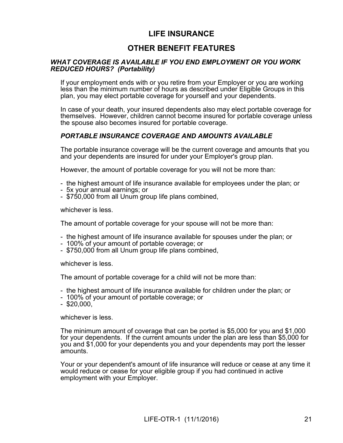# **LIFE INSURANCE**

# **OTHER BENEFIT FEATURES**

#### *WHAT COVERAGE IS AVAILABLE IF YOU END EMPLOYMENT OR YOU WORK REDUCED HOURS? (Portability)*

If your employment ends with or you retire from your Employer or you are working less than the minimum number of hours as described under Eligible Groups in this plan, you may elect portable coverage for yourself and your dependents.

In case of your death, your insured dependents also may elect portable coverage for themselves. However, children cannot become insured for portable coverage unless the spouse also becomes insured for portable coverage.

### *PORTABLE INSURANCE COVERAGE AND AMOUNTS AVAILABLE*

The portable insurance coverage will be the current coverage and amounts that you and your dependents are insured for under your Employer's group plan.

However, the amount of portable coverage for you will not be more than:

- the highest amount of life insurance available for employees under the plan; or
- 5x your annual earnings; or
- \$750,000 from all Unum group life plans combined,

whichever is less.

The amount of portable coverage for your spouse will not be more than:

- the highest amount of life insurance available for spouses under the plan; or
- 100% of your amount of portable coverage; or
- \$750,000 from all Unum group life plans combined,

whichever is less.

The amount of portable coverage for a child will not be more than:

- the highest amount of life insurance available for children under the plan; or
- 100% of your amount of portable coverage; or
- $-$  \$20,000,

whichever is less.

The minimum amount of coverage that can be ported is \$5,000 for you and \$1,000 for your dependents. If the current amounts under the plan are less than \$5,000 for you and \$1,000 for your dependents you and your dependents may port the lesser amounts.

Your or your dependent's amount of life insurance will reduce or cease at any time it would reduce or cease for your eligible group if you had continued in active employment with your Employer.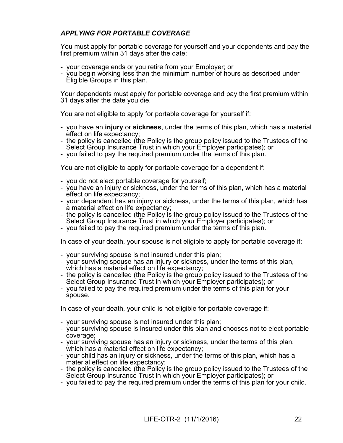### *APPLYING FOR PORTABLE COVERAGE*

You must apply for portable coverage for yourself and your dependents and pay the first premium within 31 days after the date:

- your coverage ends or you retire from your Employer; or
- you begin working less than the minimum number of hours as described under Eligible Groups in this plan.

Your dependents must apply for portable coverage and pay the first premium within 31 days after the date you die.

You are not eligible to apply for portable coverage for yourself if:

- you have an **injury** or **sickness**, under the terms of this plan, which has a material effect on life expectancy;
- the policy is cancelled (the Policy is the group policy issued to the Trustees of the Select Group Insurance Trust in which your Employer participates); or
- you failed to pay the required premium under the terms of this plan.

You are not eligible to apply for portable coverage for a dependent if:

- you do not elect portable coverage for yourself;
- you have an injury or sickness, under the terms of this plan, which has a material effect on life expectancy;
- your dependent has an injury or sickness, under the terms of this plan, which has a material effect on life expectancy;
- the policy is cancelled (the Policy is the group policy issued to the Trustees of the Select Group Insurance Trust in which your Employer participates); or
- you failed to pay the required premium under the terms of this plan.

In case of your death, your spouse is not eligible to apply for portable coverage if:

- your surviving spouse is not insured under this plan;
- your surviving spouse has an injury or sickness, under the terms of this plan, which has a material effect on life expectancy:
- the policy is cancelled (the Policy is the group policy issued to the Trustees of the Select Group Insurance Trust in which your Employer participates); or
- you failed to pay the required premium under the terms of this plan for your spouse.

In case of your death, your child is not eligible for portable coverage if:

- your surviving spouse is not insured under this plan;
- your surviving spouse is insured under this plan and chooses not to elect portable coverage;
- your surviving spouse has an injury or sickness, under the terms of this plan, which has a material effect on life expectancy;
- your child has an injury or sickness, under the terms of this plan, which has a material effect on life expectancy;
- the policy is cancelled (the Policy is the group policy issued to the Trustees of the Select Group Insurance Trust in which your Employer participates); or
- you failed to pay the required premium under the terms of this plan for your child.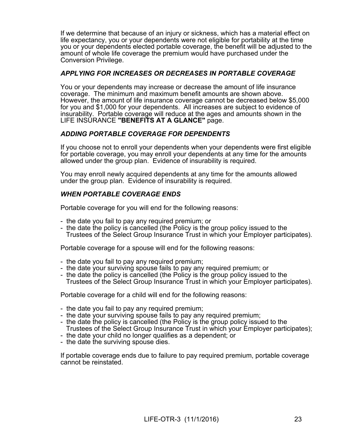If we determine that because of an injury or sickness, which has a material effect on life expectancy, you or your dependents were not eligible for portability at the time you or your dependents elected portable coverage, the benefit will be adjusted to the amount of whole life coverage the premium would have purchased under the Conversion Privilege.

#### *APPLYING FOR INCREASES OR DECREASES IN PORTABLE COVERAGE*

You or your dependents may increase or decrease the amount of life insurance coverage. The minimum and maximum benefit amounts are shown above. However, the amount of life insurance coverage cannot be decreased below \$5,000 for you and \$1,000 for your dependents. All increases are subject to evidence of insurability. Portable coverage will reduce at the ages and amounts shown in the LIFE INSURANCE **"BENEFITS AT A GLANCE"** page.

### *ADDING PORTABLE COVERAGE FOR DEPENDENTS*

If you choose not to enroll your dependents when your dependents were first eligible for portable coverage, you may enroll your dependents at any time for the amounts allowed under the group plan. Evidence of insurability is required.

You may enroll newly acquired dependents at any time for the amounts allowed under the group plan. Evidence of insurability is required.

#### *WHEN PORTABLE COVERAGE ENDS*

Portable coverage for you will end for the following reasons:

- the date you fail to pay any required premium; or
- the date the policy is cancelled (the Policy is the group policy issued to the Trustees of the Select Group Insurance Trust in which your Employer participates).

Portable coverage for a spouse will end for the following reasons:

- the date you fail to pay any required premium;
- the date your surviving spouse fails to pay any required premium; or
- the date the policy is cancelled (the Policy is the group policy issued to the Trustees of the Select Group Insurance Trust in which your Employer participates).

Portable coverage for a child will end for the following reasons:

- the date you fail to pay any required premium;
- the date your surviving spouse fails to pay any required premium;
- the date the policy is cancelled (the Policy is the group policy issued to the Trustees of the Select Group Insurance Trust in which your Employer participates);
- the date your child no longer qualifies as a dependent; or
- the date the surviving spouse dies.

If portable coverage ends due to failure to pay required premium, portable coverage cannot be reinstated.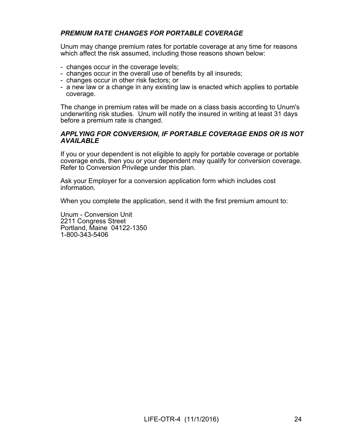### *PREMIUM RATE CHANGES FOR PORTABLE COVERAGE*

Unum may change premium rates for portable coverage at any time for reasons which affect the risk assumed, including those reasons shown below:

- changes occur in the coverage levels;
- changes occur in the overall use of benefits by all insureds;
- changes occur in other risk factors; or
- a new law or a change in any existing law is enacted which applies to portable coverage.

The change in premium rates will be made on a class basis according to Unum's underwriting risk studies. Unum will notify the insured in writing at least 31 days before a premium rate is changed.

#### *APPLYING FOR CONVERSION, IF PORTABLE COVERAGE ENDS OR IS NOT AVAILABLE*

If you or your dependent is not eligible to apply for portable coverage or portable coverage ends, then you or your dependent may qualify for conversion coverage. Refer to Conversion Privilege under this plan.

Ask your Employer for a conversion application form which includes cost information.

When you complete the application, send it with the first premium amount to:

Unum - Conversion Unit 2211 Congress Street Portland, Maine 04122-1350 1-800-343-5406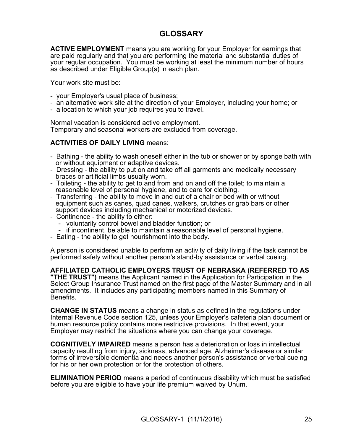# **GLOSSARY**

**ACTIVE EMPLOYMENT** means you are working for your Employer for earnings that are paid regularly and that you are performing the material and substantial duties of your regular occupation. You must be working at least the minimum number of hours as described under Eligible Group(s) in each plan.

Your work site must be:

- your Employer's usual place of business;
- an alternative work site at the direction of your Employer, including your home; or
- a location to which your job requires you to travel.

Normal vacation is considered active employment. Temporary and seasonal workers are excluded from coverage.

#### **ACTIVITIES OF DAILY LIVING** means:

- Bathing the ability to wash oneself either in the tub or shower or by sponge bath with or without equipment or adaptive devices.
- Dressing the ability to put on and take off all garments and medically necessary braces or artificial limbs usually worn.
- Toileting the ability to get to and from and on and off the toilet; to maintain a reasonable level of personal hygiene, and to care for clothing.
- Transferring the ability to move in and out of a chair or bed with or without equipment such as canes, quad canes, walkers, crutches or grab bars or other support devices including mechanical or motorized devices.
- Continence the ability to either:
	- voluntarily control bowel and bladder function; or
	- if incontinent, be able to maintain a reasonable level of personal hygiene.
- Eating the ability to get nourishment into the body.

A person is considered unable to perform an activity of daily living if the task cannot be performed safely without another person's stand-by assistance or verbal cueing.

#### **AFFILIATED CATHOLIC EMPLOYERS TRUST OF NEBRASKA (REFERRED TO AS**

**"THE TRUST")** means the Applicant named in the Application for Participation in the Select Group Insurance Trust named on the first page of the Master Summary and in all amendments. It includes any participating members named in this Summary of Benefits.

**CHANGE IN STATUS** means a change in status as defined in the regulations under Internal Revenue Code section 125, unless your Employer's cafeteria plan document or human resource policy contains more restrictive provisions. In that event, your Employer may restrict the situations where you can change your coverage.

**COGNITIVELY IMPAIRED** means a person has a deterioration or loss in intellectual capacity resulting from injury, sickness, advanced age, Alzheimer's disease or similar forms of irreversible dementia and needs another person's assistance or verbal cueing for his or her own protection or for the protection of others.

**ELIMINATION PERIOD** means a period of continuous disability which must be satisfied before you are eligible to have your life premium waived by Unum.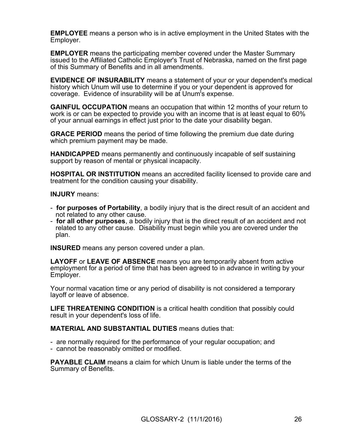**EMPLOYEE** means a person who is in active employment in the United States with the Employer.

**EMPLOYER** means the participating member covered under the Master Summary issued to the Affiliated Catholic Employer's Trust of Nebraska, named on the first page of this Summary of Benefits and in all amendments.

**EVIDENCE OF INSURABILITY** means a statement of your or your dependent's medical history which Unum will use to determine if you or your dependent is approved for coverage. Evidence of insurability will be at Unum's expense.

**GAINFUL OCCUPATION** means an occupation that within 12 months of your return to work is or can be expected to provide you with an income that is at least equal to 60% of your annual earnings in effect just prior to the date your disability began.

**GRACE PERIOD** means the period of time following the premium due date during which premium payment may be made.

**HANDICAPPED** means permanently and continuously incapable of self sustaining support by reason of mental or physical incapacity.

**HOSPITAL OR INSTITUTION** means an accredited facility licensed to provide care and treatment for the condition causing your disability.

**INJURY** means:

- **for purposes of Portability**, a bodily injury that is the direct result of an accident and not related to any other cause.
- **for all other purposes**, a bodily injury that is the direct result of an accident and not related to any other cause. Disability must begin while you are covered under the plan.

**INSURED** means any person covered under a plan.

**LAYOFF** or **LEAVE OF ABSENCE** means you are temporarily absent from active employment for a period of time that has been agreed to in advance in writing by your Employer.

Your normal vacation time or any period of disability is not considered a temporary layoff or leave of absence.

**LIFE THREATENING CONDITION** is a critical health condition that possibly could result in your dependent's loss of life.

**MATERIAL AND SUBSTANTIAL DUTIES** means duties that:

- are normally required for the performance of your regular occupation; and
- cannot be reasonably omitted or modified.

**PAYABLE CLAIM** means a claim for which Unum is liable under the terms of the Summary of Benefits.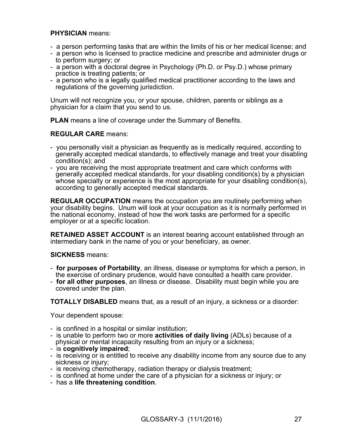### **PHYSICIAN** means:

- a person performing tasks that are within the limits of his or her medical license; and
- a person who is licensed to practice medicine and prescribe and administer drugs or to perform surgery; or
- a person with a doctoral degree in Psychology (Ph.D. or Psy.D.) whose primary practice is treating patients; or
- a person who is a legally qualified medical practitioner according to the laws and regulations of the governing jurisdiction.

Unum will not recognize you, or your spouse, children, parents or siblings as a physician for a claim that you send to us.

**PLAN** means a line of coverage under the Summary of Benefits.

#### **REGULAR CARE** means:

- you personally visit a physician as frequently as is medically required, according to generally accepted medical standards, to effectively manage and treat your disabling condition(s); and
- you are receiving the most appropriate treatment and care which conforms with generally accepted medical standards, for your disabling condition(s) by a physician whose specialty or experience is the most appropriate for your disabling condition(s), according to generally accepted medical standards.

**REGULAR OCCUPATION** means the occupation you are routinely performing when your disability begins. Unum will look at your occupation as it is normally performed in the national economy, instead of how the work tasks are performed for a specific employer or at a specific location.

**RETAINED ASSET ACCOUNT** is an interest bearing account established through an intermediary bank in the name of you or your beneficiary, as owner.

#### **SICKNESS** means:

- **for purposes of Portability**, an illness, disease or symptoms for which a person, in the exercise of ordinary prudence, would have consulted a health care provider.
- **for all other purposes**, an illness or disease. Disability must begin while you are covered under the plan.

**TOTALLY DISABLED** means that, as a result of an injury, a sickness or a disorder:

Your dependent spouse:

- is confined in a hospital or similar institution;
- is unable to perform two or more **activities of daily living** (ADLs) because of a physical or mental incapacity resulting from an injury or a sickness;
- is **cognitively impaired**;
- is receiving or is entitled to receive any disability income from any source due to any sickness or injury;
- is receiving chemotherapy, radiation therapy or dialysis treatment;
- is confined at home under the care of a physician for a sickness or injury; or
- has a **life threatening condition**.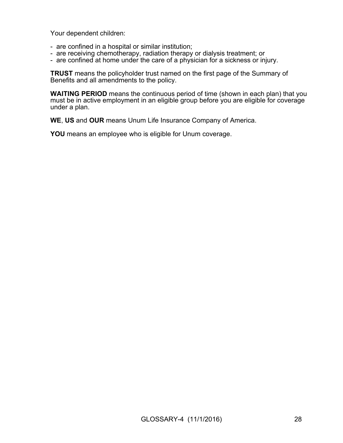Your dependent children:

- are confined in a hospital or similar institution;
- are receiving chemotherapy, radiation therapy or dialysis treatment; or
- are confined at home under the care of a physician for a sickness or injury.

**TRUST** means the policyholder trust named on the first page of the Summary of Benefits and all amendments to the policy.

**WAITING PERIOD** means the continuous period of time (shown in each plan) that you must be in active employment in an eligible group before you are eligible for coverage under a plan.

**WE**, **US** and **OUR** means Unum Life Insurance Company of America.

**YOU** means an employee who is eligible for Unum coverage.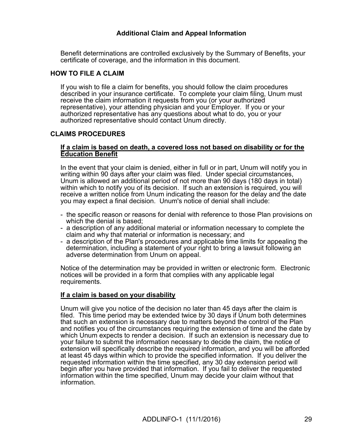### **Additional Claim and Appeal Information**

Benefit determinations are controlled exclusively by the Summary of Benefits, your certificate of coverage, and the information in this document.

### **HOW TO FILE A CLAIM**

If you wish to file a claim for benefits, you should follow the claim procedures described in your insurance certificate. To complete your claim filing, Unum must receive the claim information it requests from you (or your authorized representative), your attending physician and your Employer. If you or your authorized representative has any questions about what to do, you or your authorized representative should contact Unum directly.

### **CLAIMS PROCEDURES**

#### **If a claim is based on death, a covered loss not based on disability or for the Education Benefit**

In the event that your claim is denied, either in full or in part, Unum will notify you in writing within 90 days after your claim was filed. Under special circumstances, Unum is allowed an additional period of not more than 90 days (180 days in total) within which to notify you of its decision. If such an extension is required, you will receive a written notice from Unum indicating the reason for the delay and the date you may expect a final decision. Unum's notice of denial shall include:

- the specific reason or reasons for denial with reference to those Plan provisions on which the denial is based;
- a description of any additional material or information necessary to complete the claim and why that material or information is necessary; and
- a description of the Plan's procedures and applicable time limits for appealing the determination, including a statement of your right to bring a lawsuit following an adverse determination from Unum on appeal.

Notice of the determination may be provided in written or electronic form. Electronic notices will be provided in a form that complies with any applicable legal requirements.

#### **If a claim is based on your disability**

Unum will give you notice of the decision no later than 45 days after the claim is filed. This time period may be extended twice by 30 days if Unum both determines that such an extension is necessary due to matters beyond the control of the Plan and notifies you of the circumstances requiring the extension of time and the date by which Unum expects to render a decision. If such an extension is necessary due to your failure to submit the information necessary to decide the claim, the notice of extension will specifically describe the required information, and you will be afforded at least 45 days within which to provide the specified information. If you deliver the requested information within the time specified, any 30 day extension period will begin after you have provided that information. If you fail to deliver the requested information within the time specified, Unum may decide your claim without that information.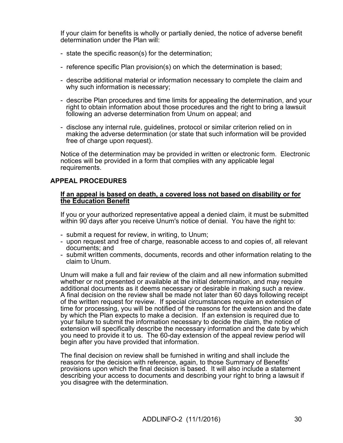If your claim for benefits is wholly or partially denied, the notice of adverse benefit determination under the Plan will:

- state the specific reason(s) for the determination;
- reference specific Plan provision(s) on which the determination is based;
- describe additional material or information necessary to complete the claim and why such information is necessary;
- describe Plan procedures and time limits for appealing the determination, and your right to obtain information about those procedures and the right to bring a lawsuit following an adverse determination from Unum on appeal; and
- disclose any internal rule, guidelines, protocol or similar criterion relied on in making the adverse determination (or state that such information will be provided free of charge upon request).

Notice of the determination may be provided in written or electronic form. Electronic notices will be provided in a form that complies with any applicable legal requirements.

### **APPEAL PROCEDURES**

#### **If an appeal is based on death, a covered loss not based on disability or for the Education Benefit**

If you or your authorized representative appeal a denied claim, it must be submitted within 90 days after you receive Unum's notice of denial. You have the right to:

- submit a request for review, in writing, to Unum;
- upon request and free of charge, reasonable access to and copies of, all relevant documents; and
- submit written comments, documents, records and other information relating to the claim to Unum.

Unum will make a full and fair review of the claim and all new information submitted whether or not presented or available at the initial determination, and may require additional documents as it deems necessary or desirable in making such a review. A final decision on the review shall be made not later than 60 days following receipt of the written request for review. If special circumstances require an extension of time for processing, you will be notified of the reasons for the extension and the date by which the Plan expects to make a decision. If an extension is required due to your failure to submit the information necessary to decide the claim, the notice of extension will specifically describe the necessary information and the date by which you need to provide it to us. The 60-day extension of the appeal review period will begin after you have provided that information.

The final decision on review shall be furnished in writing and shall include the reasons for the decision with reference, again, to those Summary of Benefits' provisions upon which the final decision is based. It will also include a statement describing your access to documents and describing your right to bring a lawsuit if you disagree with the determination.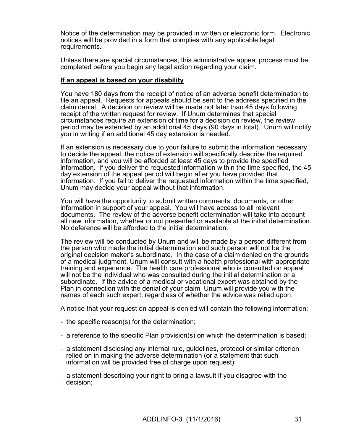Notice of the determination may be provided in written or electronic form. Electronic notices will be provided in a form that complies with any applicable legal requirements.

Unless there are special circumstances, this administrative appeal process must be completed before you begin any legal action regarding your claim.

#### **If an appeal is based on your disability**

You have 180 days from the receipt of notice of an adverse benefit determination to file an appeal. Requests for appeals should be sent to the address specified in the claim denial. A decision on review will be made not later than 45 days following receipt of the written request for review. If Unum determines that special circumstances require an extension of time for a decision on review, the review period may be extended by an additional 45 days (90 days in total). Unum will notify you in writing if an additional 45 day extension is needed.

If an extension is necessary due to your failure to submit the information necessary to decide the appeal, the notice of extension will specifically describe the required information, and you will be afforded at least 45 days to provide the specified information. If you deliver the requested information within the time specified, the 45 day extension of the appeal period will begin after you have provided that information. If you fail to deliver the requested information within the time specified, Unum may decide your appeal without that information.

You will have the opportunity to submit written comments, documents, or other information in support of your appeal. You will have access to all relevant documents. The review of the adverse benefit determination will take into account all new information, whether or not presented or available at the initial determination. No deference will be afforded to the initial determination.

The review will be conducted by Unum and will be made by a person different from the person who made the initial determination and such person will not be the original decision maker's subordinate. In the case of a claim denied on the grounds of a medical judgment, Unum will consult with a health professional with appropriate training and experience. The health care professional who is consulted on appeal will not be the individual who was consulted during the initial determination or a subordinate. If the advice of a medical or vocational expert was obtained by the Plan in connection with the denial of your claim, Unum will provide you with the names of each such expert, regardless of whether the advice was relied upon.

A notice that your request on appeal is denied will contain the following information:

- the specific reason(s) for the determination;
- a reference to the specific Plan provision(s) on which the determination is based;
- a statement disclosing any internal rule, guidelines, protocol or similar criterion relied on in making the adverse determination (or a statement that such information will be provided free of charge upon request);
- a statement describing your right to bring a lawsuit if you disagree with the decision;